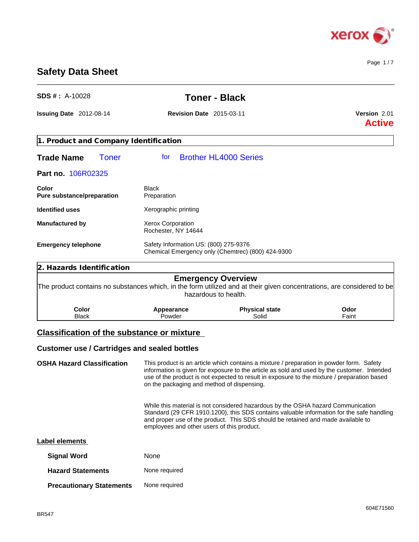

Page 1 / 7

# **Safety Data Sheet**

| SDS #: A-10028                                                                                                           | <b>Toner - Black</b>                            |                                                                                                                                                                                                                                                                   |                                      |
|--------------------------------------------------------------------------------------------------------------------------|-------------------------------------------------|-------------------------------------------------------------------------------------------------------------------------------------------------------------------------------------------------------------------------------------------------------------------|--------------------------------------|
| <b>Issuing Date</b> $2012-08-14$                                                                                         | <b>Revision Date</b> 2015-03-11                 |                                                                                                                                                                                                                                                                   | <b>Version 2.01</b><br><b>Active</b> |
| 1. Product and Company Identification                                                                                    |                                                 |                                                                                                                                                                                                                                                                   |                                      |
| <b>Trade Name</b><br><b>Toner</b>                                                                                        | for                                             | <b>Brother HL4000 Series</b>                                                                                                                                                                                                                                      |                                      |
| Part no. 106R02325                                                                                                       |                                                 |                                                                                                                                                                                                                                                                   |                                      |
| Color<br>Pure substance/preparation                                                                                      | <b>Black</b><br>Preparation                     |                                                                                                                                                                                                                                                                   |                                      |
| <b>Identified uses</b>                                                                                                   | Xerographic printing                            |                                                                                                                                                                                                                                                                   |                                      |
| <b>Manufactured by</b>                                                                                                   | <b>Xerox Corporation</b><br>Rochester, NY 14644 |                                                                                                                                                                                                                                                                   |                                      |
| Safety Information US: (800) 275-9376<br><b>Emergency telephone</b><br>Chemical Emergency only (Chemtrec) (800) 424-9300 |                                                 |                                                                                                                                                                                                                                                                   |                                      |
| 2. Hazards Identification                                                                                                |                                                 |                                                                                                                                                                                                                                                                   |                                      |
|                                                                                                                          |                                                 | <b>Emergency Overview</b><br>The product contains no substances which, in the form utilized and at their given concentrations, are considered to be<br>hazardous to health.                                                                                       |                                      |
| Color<br><b>Black</b>                                                                                                    | Appearance<br>Powder                            | <b>Physical state</b><br>Solid                                                                                                                                                                                                                                    | Odor<br>Faint                        |
| <b>Classification of the substance or mixture</b>                                                                        |                                                 |                                                                                                                                                                                                                                                                   |                                      |
| <b>Customer use / Cartridges and sealed bottles</b>                                                                      |                                                 |                                                                                                                                                                                                                                                                   |                                      |
| <b>OSHA Hazard Classification</b>                                                                                        |                                                 | This product is an article which contains a mixture / preparation in powder form. Safety                                                                                                                                                                          |                                      |
|                                                                                                                          | on the packaging and method of dispensing.      | information is given for exposure to the article as sold and used by the customer. Intended<br>use of the product is not expected to result in exposure to the mixture / preparation based                                                                        |                                      |
|                                                                                                                          | employees and other users of this product.      | While this material is not considered hazardous by the OSHA hazard Communication<br>Standard (29 CFR 1910.1200), this SDS contains valuable information for the safe handling<br>and proper use of the product. This SDS should be retained and made available to |                                      |

\_\_\_\_\_\_\_\_\_\_\_\_\_\_\_\_\_\_\_\_\_\_\_\_\_\_\_\_\_\_\_\_\_\_\_\_\_\_\_\_\_\_\_\_\_\_\_\_\_\_\_\_\_\_\_\_\_\_\_\_\_\_\_\_\_\_\_\_\_\_\_\_\_\_\_\_\_\_\_\_\_\_\_\_\_\_\_\_\_\_\_\_\_\_

| <b>Label elements</b> |  |
|-----------------------|--|
|-----------------------|--|

| <b>Signal Word</b>              | <b>None</b>   |
|---------------------------------|---------------|
| <b>Hazard Statements</b>        | None required |
| <b>Precautionary Statements</b> | None required |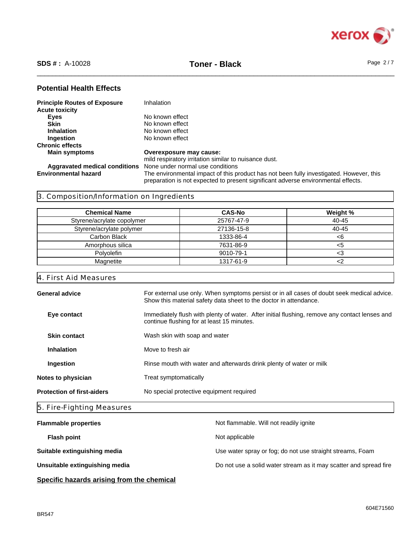

\_\_\_\_\_\_\_\_\_\_\_\_\_\_\_\_\_\_\_\_\_\_\_\_\_\_\_\_\_\_\_\_\_\_\_\_\_\_\_\_\_\_\_\_\_\_\_\_\_\_\_\_\_\_\_\_\_\_\_\_\_\_\_\_\_\_\_\_\_\_\_\_\_\_\_\_\_\_\_\_\_\_\_\_\_\_\_\_\_\_\_\_\_\_ **SDS # :** A-10028 **Toner - Black** Page 2 / 7

# **Potential Health Effects**

| <b>Principle Routes of Exposure</b> | Inhalation                                                                                                                                                                   |
|-------------------------------------|------------------------------------------------------------------------------------------------------------------------------------------------------------------------------|
| <b>Acute toxicity</b>               |                                                                                                                                                                              |
| Eyes                                | No known effect                                                                                                                                                              |
| <b>Skin</b>                         | No known effect                                                                                                                                                              |
| <b>Inhalation</b>                   | No known effect                                                                                                                                                              |
| Ingestion                           | No known effect                                                                                                                                                              |
| <b>Chronic effects</b>              |                                                                                                                                                                              |
| <b>Main symptoms</b>                | Overexposure may cause:                                                                                                                                                      |
|                                     | mild respiratory irritation similar to nuisance dust.                                                                                                                        |
|                                     | <b>Aggravated medical conditions</b> None under normal use conditions                                                                                                        |
| <b>Environmental hazard</b>         | The environmental impact of this product has not been fully investigated. However, this<br>preparation is not expected to present significant adverse environmental effects. |

# 3. Composition/Information on Ingredients

| <b>Chemical Name</b>       | <b>CAS-No</b> | Weight %  |
|----------------------------|---------------|-----------|
| Styrene/acrylate copolymer | 25767-47-9    | 40-45     |
| Styrene/acrylate polymer   | 27136-15-8    | $40 - 45$ |
| Carbon Black               | 1333-86-4     | <6        |
| Amorphous silica           | 7631-86-9     | <5        |
| Polvolefin                 | 9010-79-1     | د.>       |
| Magnetite                  | 1317-61-9     |           |

# 4. First Aid Measures

| <b>General advice</b>             | For external use only. When symptoms persist or in all cases of doubt seek medical advice.<br>Show this material safety data sheet to the doctor in attendance. |  |  |
|-----------------------------------|-----------------------------------------------------------------------------------------------------------------------------------------------------------------|--|--|
| Eye contact                       | Immediately flush with plenty of water. After initial flushing, remove any contact lenses and<br>continue flushing for at least 15 minutes.                     |  |  |
| <b>Skin contact</b>               | Wash skin with soap and water                                                                                                                                   |  |  |
| <b>Inhalation</b>                 | Move to fresh air                                                                                                                                               |  |  |
| Ingestion                         | Rinse mouth with water and afterwards drink plenty of water or milk                                                                                             |  |  |
| Notes to physician                | Treat symptomatically                                                                                                                                           |  |  |
| <b>Protection of first-aiders</b> | No special protective equipment required                                                                                                                        |  |  |
|                                   |                                                                                                                                                                 |  |  |

# 5. Fire-Fighting Measures

| <b>Flammable properties</b>    | Not flammable. Will not readily ignite                            |
|--------------------------------|-------------------------------------------------------------------|
| <b>Flash point</b>             | Not applicable                                                    |
| Suitable extinguishing media   | Use water spray or fog; do not use straight streams, Foam         |
| Unsuitable extinguishing media | Do not use a solid water stream as it may scatter and spread fire |
|                                |                                                                   |

**Specific hazards arising from the chemical**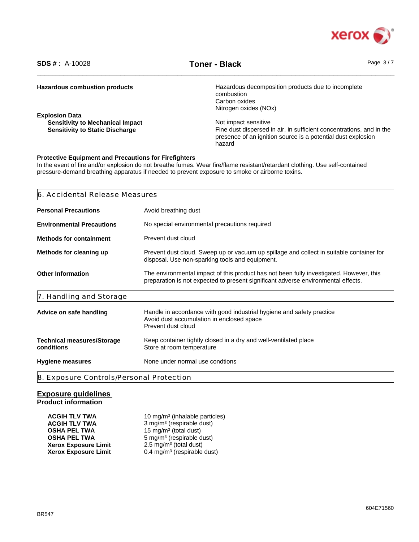

\_\_\_\_\_\_\_\_\_\_\_\_\_\_\_\_\_\_\_\_\_\_\_\_\_\_\_\_\_\_\_\_\_\_\_\_\_\_\_\_\_\_\_\_\_\_\_\_\_\_\_\_\_\_\_\_\_\_\_\_\_\_\_\_\_\_\_\_\_\_\_\_\_\_\_\_\_\_\_\_\_\_\_\_\_\_\_\_\_\_\_\_\_\_ **SDS # :** A-10028 **Toner - Black** Page 3 / 7

| <b>Hazardous combustion products</b>    | Hazardous decomposition products due to incomplete<br>combustion     |
|-----------------------------------------|----------------------------------------------------------------------|
|                                         | Carbon oxides                                                        |
|                                         |                                                                      |
|                                         | Nitrogen oxides (NOx)                                                |
| <b>Explosion Data</b>                   |                                                                      |
| <b>Sensitivity to Mechanical Impact</b> | Not impact sensitive                                                 |
| <b>Sensitivity to Static Discharge</b>  | Fine dust dispersed in air, in sufficient concentrations, and in the |
|                                         | presence of an ignition source is a potential dust explosion         |
|                                         | hazard                                                               |
|                                         |                                                                      |

# **Protective Equipment and Precautions for Firefighters**

In the event of fire and/or explosion do not breathe fumes. Wear fire/flame resistant/retardant clothing. Use self-contained pressure-demand breathing apparatus if needed to prevent exposure to smoke or airborne toxins.

| 6. Accidental Release Measures                  |                                                                                                                                                                              |  |  |
|-------------------------------------------------|------------------------------------------------------------------------------------------------------------------------------------------------------------------------------|--|--|
| <b>Personal Precautions</b>                     | Avoid breathing dust                                                                                                                                                         |  |  |
| <b>Environmental Precautions</b>                | No special environmental precautions required                                                                                                                                |  |  |
| <b>Methods for containment</b>                  | Prevent dust cloud                                                                                                                                                           |  |  |
| Methods for cleaning up                         | Prevent dust cloud. Sweep up or vacuum up spillage and collect in suitable container for<br>disposal. Use non-sparking tools and equipment.                                  |  |  |
| <b>Other Information</b>                        | The environmental impact of this product has not been fully investigated. However, this<br>preparation is not expected to present significant adverse environmental effects. |  |  |
| 7. Handling and Storage                         |                                                                                                                                                                              |  |  |
| Advice on safe handling                         | Handle in accordance with good industrial hygiene and safety practice<br>Avoid dust accumulation in enclosed space<br>Prevent dust cloud                                     |  |  |
| <b>Technical measures/Storage</b><br>conditions | Keep container tightly closed in a dry and well-ventilated place<br>Store at room temperature                                                                                |  |  |
| <b>Hygiene measures</b>                         | None under normal use condtions                                                                                                                                              |  |  |
| 8. Exposure Controls/Personal Protection        |                                                                                                                                                                              |  |  |

# **Exposure guidelines Product information**

| <b>ACGIH TLV TWA</b>        | 10 mg/m <sup>3</sup> (inhalable particles) |
|-----------------------------|--------------------------------------------|
| <b>ACGIH TLV TWA</b>        | 3 mg/m <sup>3</sup> (respirable dust)      |
| <b>OSHA PEL TWA</b>         | 15 mg/m <sup>3</sup> (total dust)          |
| <b>OSHA PEL TWA</b>         | 5 mg/m <sup>3</sup> (respirable dust)      |
| <b>Xerox Exposure Limit</b> | $2.5 \text{ mg/m}^3$ (total dust)          |
| <b>Xerox Exposure Limit</b> | $0.4$ mg/m <sup>3</sup> (respirable dust)  |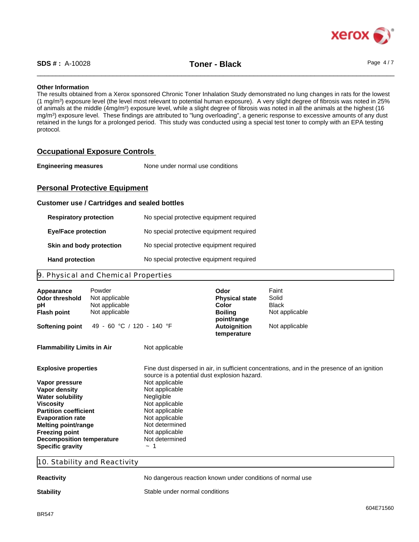

## **Other Information**

The results obtained from a Xerox sponsored Chronic Toner Inhalation Study demonstrated no lung changes in rats for the lowest (1 mg/m<sup>3</sup> ) exposure level (the level most relevant to potential human exposure). A very slight degree of fibrosis was noted in 25% of animals at the middle (4mg/m<sup>3</sup>) exposure level, while a slight degree of fibrosis was noted in all the animals at the highest (16 mg/m<sup>3</sup> ) exposure level. These findings are attributed to "lung overloading", a generic response to excessive amounts of any dust retained in the lungs for a prolonged period. This study was conducted using a special test toner to comply with an EPA testing protocol.

# **Occupational Exposure Controls**

**Engineering measures** None under normal use conditions

# **Personal Protective Equipment**

## **Customer use / Cartridges and sealed bottles**

| <b>Respiratory protection</b> | No special protective equipment required |
|-------------------------------|------------------------------------------|
| <b>Eye/Face protection</b>    | No special protective equipment required |
| Skin and body protection      | No special protective equipment required |
| <b>Hand protection</b>        | No special protective equipment required |

# 9. Physical and Chemical Properties

| Appearance<br>Odor threshold<br>рH<br><b>Flash point</b>                                                                                                                                                                                                                                | Powder<br>Not applicable<br>Not applicable<br>Not applicable |                                                                                                                                                                                                                      | Odor<br><b>Physical state</b><br>Color<br><b>Boiling</b><br>point/range | Faint<br>Solid<br><b>Black</b><br>Not applicable                                             |
|-----------------------------------------------------------------------------------------------------------------------------------------------------------------------------------------------------------------------------------------------------------------------------------------|--------------------------------------------------------------|----------------------------------------------------------------------------------------------------------------------------------------------------------------------------------------------------------------------|-------------------------------------------------------------------------|----------------------------------------------------------------------------------------------|
| <b>Softening point</b>                                                                                                                                                                                                                                                                  | 49 - 60 °C / 120 - 140 °F                                    |                                                                                                                                                                                                                      | Autoignition<br>temperature                                             | Not applicable                                                                               |
| <b>Flammability Limits in Air</b>                                                                                                                                                                                                                                                       |                                                              | Not applicable                                                                                                                                                                                                       |                                                                         |                                                                                              |
| <b>Explosive properties</b><br>Vapor pressure<br>Vapor density<br><b>Water solubility</b><br><b>Viscosity</b><br><b>Partition coefficient</b><br><b>Evaporation rate</b><br>Melting point/range<br><b>Freezing point</b><br><b>Decomposition temperature</b><br><b>Specific gravity</b> |                                                              | source is a potential dust explosion hazard.<br>Not applicable<br>Not applicable<br>Negligible<br>Not applicable<br>Not applicable<br>Not applicable<br>Not determined<br>Not applicable<br>Not determined<br>$\sim$ |                                                                         | Fine dust dispersed in air, in sufficient concentrations, and in the presence of an ignition |

10. Stability and Reactivity

**Reactivity Reaction** No dangerous reaction known under conditions of normal use

**Stability** Stable under normal conditions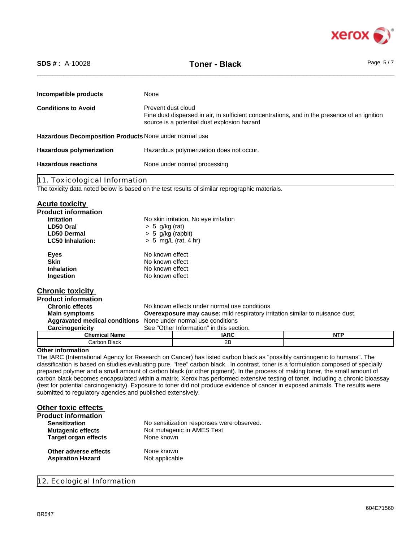

\_\_\_\_\_\_\_\_\_\_\_\_\_\_\_\_\_\_\_\_\_\_\_\_\_\_\_\_\_\_\_\_\_\_\_\_\_\_\_\_\_\_\_\_\_\_\_\_\_\_\_\_\_\_\_\_\_\_\_\_\_\_\_\_\_\_\_\_\_\_\_\_\_\_\_\_\_\_\_\_\_\_\_\_\_\_\_\_\_\_\_\_\_\_ **SDS # :** A-10028 **Toner - Black** Page 5 / 7

| Incompatible products                                  | None                                                                                                                                                              |
|--------------------------------------------------------|-------------------------------------------------------------------------------------------------------------------------------------------------------------------|
| <b>Conditions to Avoid</b>                             | Prevent dust cloud<br>Fine dust dispersed in air, in sufficient concentrations, and in the presence of an ignition<br>source is a potential dust explosion hazard |
| Hazardous Decomposition Products None under normal use |                                                                                                                                                                   |
| <b>Hazardous polymerization</b>                        | Hazardous polymerization does not occur.                                                                                                                          |
| <b>Hazardous reactions</b>                             | None under normal processing                                                                                                                                      |

11. Toxicological Information

The toxicity data noted below is based on the test results of similar reprographic materials.

# **Acute toxicity**

| .<br><b>Product information</b>      |                                                                                      |                                          |            |
|--------------------------------------|--------------------------------------------------------------------------------------|------------------------------------------|------------|
| <b>Irritation</b>                    |                                                                                      | No skin irritation, No eye irritation    |            |
| LD50 Oral                            | $> 5$ g/kg (rat)                                                                     |                                          |            |
| <b>LD50 Dermal</b>                   | $> 5$ g/kg (rabbit)                                                                  |                                          |            |
| <b>LC50 Inhalation:</b>              |                                                                                      | $> 5$ mg/L (rat, 4 hr)                   |            |
| <b>Eyes</b>                          | No known effect                                                                      |                                          |            |
| <b>Skin</b>                          | No known effect                                                                      |                                          |            |
| <b>Inhalation</b>                    | No known effect                                                                      |                                          |            |
| Ingestion                            | No known effect                                                                      |                                          |            |
| <b>Chronic toxicity</b>              |                                                                                      |                                          |            |
| <b>Product information</b>           |                                                                                      |                                          |            |
| <b>Chronic effects</b>               | No known effects under normal use conditions                                         |                                          |            |
| <b>Main symptoms</b>                 | <b>Overexposure may cause:</b> mild respiratory irritation similar to nuisance dust. |                                          |            |
| <b>Aggravated medical conditions</b> | None under normal use conditions                                                     |                                          |            |
| Carcinogenicity                      |                                                                                      | See "Other Information" in this section. |            |
| <b>Chemical Name</b>                 |                                                                                      | IARC                                     | <b>NTP</b> |

#### **Other information**

The IARC (International Agency for Research on Cancer) has listed carbon black as "possibly carcinogenic to humans". The classification is based on studies evaluating pure, "free" carbon black. In contrast, toner is a formulation composed of specially prepared polymer and a small amount of carbon black (or other pigment). In the process of making toner, the small amount of carbon black becomes encapsulated within a matrix. Xerox has performed extensive testing of toner, including a chronic bioassay (test for potential carcinogenicity). Exposure to toner did not produce evidence of cancer in exposed animals. The results were submitted to regulatory agencies and published extensively.

# **Other toxic effects**

| <b>Product information</b>  |                                           |
|-----------------------------|-------------------------------------------|
| <b>Sensitization</b>        | No sensitization responses were observed. |
| <b>Mutagenic effects</b>    | Not mutagenic in AMES Test                |
| <b>Target organ effects</b> | None known                                |
| Other adverse effects       | None known                                |
| <b>Aspiration Hazard</b>    | Not applicable                            |
|                             |                                           |

Carbon Black 2B

12. Ecological Information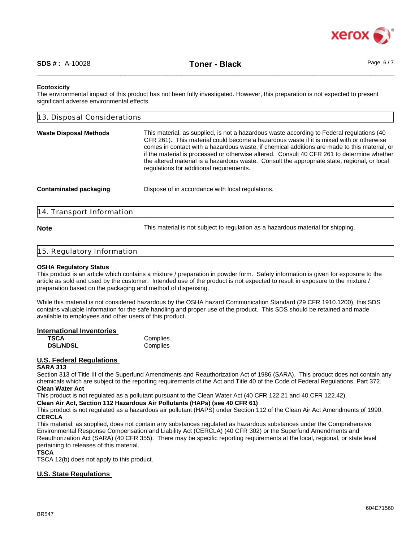

## **Ecotoxicity**

The environmental impact of this product has not been fully investigated. However, this preparation is not expected to present significant adverse environmental effects.

| 13. Disposal Considerations   |                                                                                                                                                                                                                                                                                                                                                                                                                                                                                                                                |
|-------------------------------|--------------------------------------------------------------------------------------------------------------------------------------------------------------------------------------------------------------------------------------------------------------------------------------------------------------------------------------------------------------------------------------------------------------------------------------------------------------------------------------------------------------------------------|
| <b>Waste Disposal Methods</b> | This material, as supplied, is not a hazardous waste according to Federal regulations (40<br>CFR 261). This material could become a hazardous waste if it is mixed with or otherwise<br>comes in contact with a hazardous waste, if chemical additions are made to this material, or<br>if the material is processed or otherwise altered. Consult 40 CFR 261 to determine whether<br>the altered material is a hazardous waste. Consult the appropriate state, regional, or local<br>regulations for additional requirements. |
| <b>Contaminated packaging</b> | Dispose of in accordance with local regulations.                                                                                                                                                                                                                                                                                                                                                                                                                                                                               |
| 14. Transport Information     |                                                                                                                                                                                                                                                                                                                                                                                                                                                                                                                                |

**Note** This material is not subject to regulation as a hazardous material for shipping.

# 15. Regulatory Information

# **OSHA Regulatory Status**

This product is an article which contains a mixture / preparation in powder form. Safety information is given for exposure to the article as sold and used by the customer. Intended use of the product is not expected to result in exposure to the mixture / preparation based on the packaging and method of dispensing.

While this material is not considered hazardous by the OSHA hazard Communication Standard (29 CFR 1910.1200), this SDS contains valuable information for the safe handling and proper use of the product. This SDS should be retained and made available to employees and other users of this product.

# **International Inventories**

**Complies**<br>Complies **DSL/NDSL** 

# **U.S. Federal Regulations**

# **SARA 313**

Section 313 of Title III of the Superfund Amendments and Reauthorization Act of 1986 (SARA). This product does not contain any chemicals which are subject to the reporting requirements of the Act and Title 40 of the Code of Federal Regulations, Part 372. **Clean Water Act**

This product is not regulated as a pollutant pursuant to the Clean Water Act (40 CFR 122.21 and 40 CFR 122.42).

**Clean Air Act, Section 112 Hazardous Air Pollutants (HAPs) (see 40 CFR 61)**

This product is not regulated as a hazardous air pollutant (HAPS) under Section 112 of the Clean Air Act Amendments of 1990. **CERCLA**

This material, as supplied, does not contain any substances regulated as hazardous substances under the Comprehensive Environmental Response Compensation and Liability Act (CERCLA) (40 CFR 302) or the Superfund Amendments and Reauthorization Act (SARA) (40 CFR 355). There may be specific reporting requirements at the local, regional, or state level pertaining to releases of this material.

# **TSCA**

TSCA 12(b) does not apply to this product.

# **U.S. State Regulations**